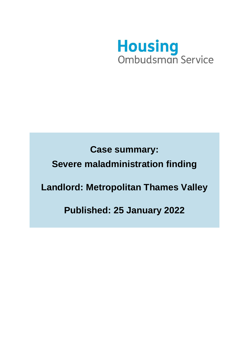

**Case summary: Severe maladministration finding Landlord: Metropolitan Thames Valley** 

**Published: 25 January 2022**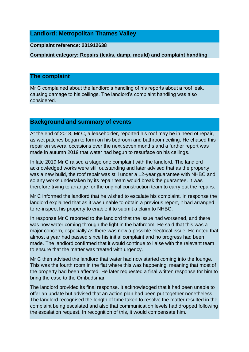# **Landlord: Metropolitan Thames Valley**

#### **Complaint reference: 201912638**

**Complaint category: Repairs (leaks, damp, mould) and complaint handling**

### **The complaint**

Mr C complained about the landlord's handling of his reports about a roof leak, causing damage to his ceilings. The landlord's complaint handling was also considered.

# **Background and summary of events**

At the end of 2018, Mr C, a leaseholder, reported his roof may be in need of repair, as wet patches began to form on his bedroom and bathroom ceiling. He chased this repair on several occasions over the next seven months and a further report was made in autumn 2019 that water had begun to resurface on his ceilings.

In late 2019 Mr C raised a stage one complaint with the landlord. The landlord acknowledged works were still outstanding and later advised that as the property was a new build, the roof repair was still under a 12-year guarantee with NHBC and so any works undertaken by its repair team would break the guarantee. It was therefore trying to arrange for the original construction team to carry out the repairs.

Mr C informed the landlord that he wished to escalate his complaint. In response the landlord explained that as it was unable to obtain a previous report, it had arranged to re-inspect his property to enable it to submit a claim to NHBC.

In response Mr C reported to the landlord that the issue had worsened, and there was now water coming through the light in the bathroom. He said that this was a major concern, especially as there was now a possible electrical issue. He noted that almost a year had passed since his initial complaint and no progress had been made. The landlord confirmed that it would continue to liaise with the relevant team to ensure that the matter was treated with urgency.

Mr C then advised the landlord that water had now started coming into the lounge. This was the fourth room in the flat where this was happening, meaning that most of the property had been affected. He later requested a final written response for him to bring the case to the Ombudsman

The landlord provided its final response. It acknowledged that it had been unable to offer an update but advised that an action plan had been put together nonetheless. The landlord recognised the length of time taken to resolve the matter resulted in the complaint being escalated and also that communication levels had dropped following the escalation request. In recognition of this, it would compensate him.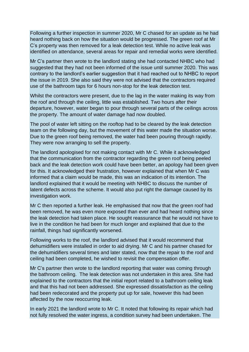Following a further inspection in summer 2020, Mr C chased for an update as he had heard nothing back on how the situation would be progressed. The green roof at Mr C's property was then removed for a leak detection test. While no active leak was identified on attendance, several areas for repair and remedial works were identified.

Mr C's partner then wrote to the landlord stating she had contacted NHBC who had suggested that they had not been informed of the issue until summer 2020. This was contrary to the landlord's earlier suggestion that it had reached out to NHBC to report the issue in 2019. She also said they were not advised that the contractors required use of the bathroom taps for 6 hours non-stop for the leak detection test.

Whilst the contractors were present, due to the lag in the water making its way from the roof and through the ceiling, little was established. Two hours after their departure, however, water began to pour through several parts of the ceilings across the property. The amount of water damage had now doubled.

The pool of water left sitting on the rooftop had to be cleared by the leak detection team on the following day, but the movement of this water made the situation worse. Due to the green roof being removed, the water had been pouring through rapidly. They were now arranging to sell the property.

The landlord apologised for not making contact with Mr C. While it acknowledged that the communication from the contractor regarding the green roof being peeled back and the leak detection work could have been better, an apology had been given for this. It acknowledged their frustration, however explained that when Mr C was informed that a claim would be made, this was an indication of its intention. The landlord explained that it would be meeting with NHBC to discuss the number of latent defects across the scheme. It would also put right the damage caused by its investigation work.

Mr C then reported a further leak. He emphasised that now that the green roof had been removed, he was even more exposed than ever and had heard nothing since the leak detection had taken place. He sought reassurance that he would not have to live in the condition he had been for much longer and explained that due to the rainfall, things had significantly worsened.

Following works to the roof, the landlord advised that it would recommend that dehumidifiers were installed in order to aid drying. Mr C and his partner chased for the dehumidifiers several times and later stated, now that the repair to the roof and ceiling had been completed, he wished to revisit the compensation offer.

Mr C's partner then wrote to the landlord reporting that water was coming through the bathroom ceiling. The leak detection was not undertaken in this area. She had explained to the contractors that the initial report related to a bathroom ceiling leak and that this had not been addressed. She expressed dissatisfaction as the ceiling had been redecorated and the property put up for sale, however this had been affected by the now reoccurring leak.

In early 2021 the landlord wrote to Mr C. It noted that following its repair which had not fully resolved the water ingress, a condition survey had been undertaken. The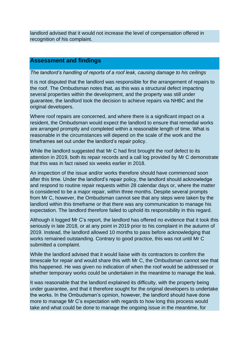landlord advised that it would not increase the level of compensation offered in recognition of his complaint.

# **Assessment and findings**

### *The landlord's handling of reports of a roof leak, causing damage to his ceilings*

It is not disputed that the landlord was responsible for the arrangement of repairs to the roof. The Ombudsman notes that, as this was a structural defect impacting several properties within the development, and the property was still under guarantee, the landlord took the decision to achieve repairs via NHBC and the original developers.

Where roof repairs are concerned, and where there is a significant impact on a resident, the Ombudsman would expect the landlord to ensure that remedial works are arranged promptly and completed within a reasonable length of time. What is reasonable in the circumstances will depend on the scale of the work and the timeframes set out under the landlord's repair policy.

While the landlord suggested that Mr C had first brought the roof defect to its attention in 2019, both its repair records and a call log provided by Mr C demonstrate that this was in fact raised six weeks earlier in 2018.

An inspection of the issue and/or works therefore should have commenced soon after this time. Under the landlord's repair policy, the landlord should acknowledge and respond to routine repair requests within 28 calendar days or, where the matter is considered to be a major repair, within three months. Despite several prompts from Mr C, however, the Ombudsman cannot see that any steps were taken by the landlord within this timeframe or that there was any communication to manage his expectation. The landlord therefore failed to uphold its responsibility in this regard.

Although it logged Mr C's report, the landlord has offered no evidence that it took this seriously in late 2018, or at any point in 2019 prior to his complaint in the autumn of 2019. Instead, the landlord allowed 10 months to pass before acknowledging that works remained outstanding. Contrary to good practice, this was not until Mr C submitted a complaint.

While the landlord advised that it would liaise with its contractors to confirm the timescale for repair and would share this with Mr C, the Ombudsman cannot see that this happened. He was given no indication of when the roof would be addressed or whether temporary works could be undertaken in the meantime to manage the leak.

It was reasonable that the landlord explained its difficulty, with the property being under guarantee, and that it therefore sought for the original developers to undertake the works. In the Ombudsman's opinion, however, the landlord should have done more to manage Mr C's expectation with regards to how long this process would take and what could be done to manage the ongoing issue in the meantime, for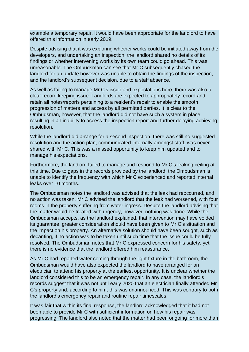example a temporary repair. It would have been appropriate for the landlord to have offered this information in early 2019.

Despite advising that it was exploring whether works could be initiated away from the developers, and undertaking an inspection, the landlord shared no details of its findings or whether intervening works by its own team could go ahead. This was unreasonable. The Ombudsman can see that Mr C subsequently chased the landlord for an update however was unable to obtain the findings of the inspection, and the landlord's subsequent decision, due to a staff absence.

As well as failing to manage Mr C's issue and expectations here, there was also a clear record keeping issue. Landlords are expected to appropriately record and retain all notes/reports pertaining to a resident's repair to enable the smooth progression of matters and access by all permitted parties. It is clear to the Ombudsman, however, that the landlord did not have such a system in place, resulting in an inability to access the inspection report and further delaying achieving resolution.

While the landlord did arrange for a second inspection, there was still no suggested resolution and the action plan, communicated internally amongst staff, was never shared with Mr C. This was a missed opportunity to keep him updated and to manage his expectations.

Furthermore, the landlord failed to manage and respond to Mr C's leaking ceiling at this time. Due to gaps in the records provided by the landlord, the Ombudsman is unable to identify the frequency with which Mr C experienced and reported internal leaks over 10 months.

The Ombudsman notes the landlord was advised that the leak had reoccurred, and no action was taken. Mr C advised the landlord that the leak had worsened, with four rooms in the property suffering from water ingress. Despite the landlord advising that the matter would be treated with urgency, however, nothing was done. While the Ombudsman accepts, as the landlord explained, that intervention may have voided its guarantee, greater consideration should have been given to Mr C's situation and the impact on his property. An alternative solution should have been sought, such as decanting, if no action was to be taken until such time that the issue could be fully resolved. The Ombudsman notes that Mr C expressed concern for his safety, yet there is no evidence that the landlord offered him reassurance.

As Mr C had reported water coming through the light fixture in the bathroom, the Ombudsman would have also expected the landlord to have arranged for an electrician to attend his property at the earliest opportunity. It is unclear whether the landlord considered this to be an emergency repair. In any case, the landlord's records suggest that it was not until early 2020 that an electrician finally attended Mr C's property and, according to him, this was unannounced. This was contrary to both the landlord's emergency repair and routine repair timescales.

It was fair that within its final response, the landlord acknowledged that it had not been able to provide Mr C with sufficient information on how his repair was progressing. The landlord also noted that the matter had been ongoing for more than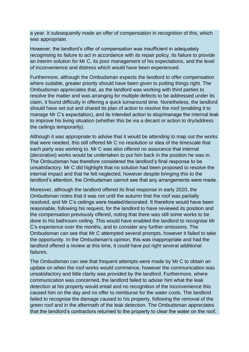a year. It subsequently made an offer of compensation in recognition of this, which was appropriate.

However, the landlord's offer of compensation was insufficient in adequately recognising its failure to act in accordance with its repair policy, its failure to provide an interim solution for Mr C, its poor management of his expectations, and the level of inconvenience and distress which would have been experienced.

Furthermore, although the Ombudsman expects the landlord to offer compensation where suitable, greater priority should have been given to putting things right. The Ombudsman appreciates that, as the landlord was working with third parties to resolve the matter and was arranging for multiple defects to be addressed under its claim, it found difficulty in offering a quick turnaround time. Nonetheless, the landlord should have set out and shared its plan of action to resolve the roof (enabling it to manage Mr C's expectation), and its intended action to stop/manage the internal leak to improve his living situation (whether this be via a decant or action to dry/address the ceilings temporarily).

Although it was appropriate to advise that it would be attending to map out the works that were needed, this still offered Mr C no resolution or idea of the timescale that each party was working to. Mr C was also offered no assurance that internal (decorative) works would be undertaken to put him back in the position he was in. The Ombudsman has therefore considered the landlord's final response to be unsatisfactory. Mr C did highlight that no solution had been proposed to resolve the internal impact and that he felt neglected, however despite bringing this to the landlord's attention, the Ombudsman cannot see that any arrangements were made.

Moreover, although the landlord offered its final response in early 2020, the Ombudsman notes that it was not until the autumn that the roof was partially resolved, and Mr C's ceilings were treated/decorated. It therefore would have been reasonable, following his request, for the landlord to have reviewed its position and the compensation previously offered, noting that there was still some works to be done to his bathroom ceiling. This would have enabled the landlord to recognise Mr C's experience over the months, and to consider any further omissions. The Ombudsman can see that Mr C attempted several prompts, however it failed to take the opportunity. In the Ombudsman's opinion, this was inappropriate and had the landlord offered a review at this time, it could have put right several additional failures.

The Ombudsman can see that frequent attempts were made by Mr C to obtain an update on when the roof works would commence, however the communication was unsatisfactory and little clarity was provided by the landlord. Furthermore, where communication was concerned, the landlord failed to advise him what the leak detection at his property would entail and no recognition of the inconvenience this caused him on the day and no offer to reimburse for the water costs. The landlord failed to recognise the damage caused to his property, following the removal of the green roof and in the aftermath of the leak detection. The Ombudsman appreciates that the landlord's contractors returned to the property to clear the water on the roof,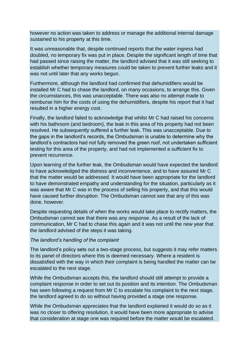however no action was taken to address or manage the additional internal damage sustained to his property at this time.

It was unreasonable that, despite continued reports that the water ingress had doubled, no temporary fix was put in place. Despite the significant length of time that had passed since raising the matter, the landlord advised that it was still seeking to establish whether temporary measures could be taken to prevent further leaks and it was not until later that any works begun.

Furthermore, although the landlord had confirmed that dehumidifiers would be installed Mr C had to chase the landlord, on many occasions, to arrange this. Given the circumstances, this was unacceptable. There was also no attempt made to reimburse him for the costs of using the dehumidifiers, despite his report that it had resulted in a higher energy cost.

Finally, the landlord failed to acknowledge that whilst Mr C had raised his concerns with his bathroom (and bedroom), the leak in this area of his property had not been resolved. He subsequently suffered a further leak. This was unacceptable. Due to the gaps in the landlord's records, the Ombudsman is unable to determine why the landlord's contractors had not fully removed the green roof, not undertaken sufficient testing for this area of the property, and had not implemented a sufficient fix to prevent recurrence.

Upon learning of the further leak, the Ombudsman would have expected the landlord to have acknowledged the distress and inconvenience, and to have assured Mr C that the matter would be addressed. It would have been appropriate for the landlord to have demonstrated empathy and understanding for the situation, particularly as it was aware that Mr C was in the process of selling his property, and that this would have caused further disruption. The Ombudsman cannot see that any of this was done, however.

Despite requesting details of when the works would take place to rectify matters, the Ombudsman cannot see that there was any response. As a result of the lack of communication, Mr C had to chase this again and it was not until the new year that the landlord advised of the steps it was taking.

### *The landlord's handling of the complaint*

The landlord's policy sets out a two-stage process, but suggests it may refer matters to its panel of directors where this is deemed necessary. Where a resident is dissatisfied with the way in which their complaint is being handled the matter can be escalated to the next stage.

While the Ombudsman accepts this, the landlord should still attempt to provide a complaint response in order to set out its position and its intention. The Ombudsman has seen following a request from Mr C to escalate his complaint to the next stage, the landlord agreed to do so without having provided a stage one response.

While the Ombudsman appreciates that the landlord explained it would do so as it was no closer to offering resolution, it would have been more appropriate to advise that consideration at stage one was required before the matter would be escalated.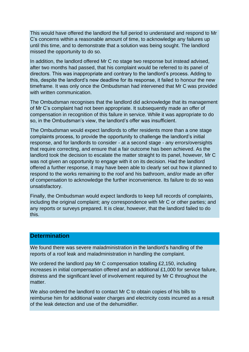This would have offered the landlord the full period to understand and respond to Mr C's concerns within a reasonable amount of time, to acknowledge any failures up until this time, and to demonstrate that a solution was being sought. The landlord missed the opportunity to do so.

In addition, the landlord offered Mr C no stage two response but instead advised, after two months had passed, that his complaint would be referred to its panel of directors. This was inappropriate and contrary to the landlord's process. Adding to this, despite the landlord's new deadline for its response, it failed to honour the new timeframe. It was only once the Ombudsman had intervened that Mr C was provided with written communication.

The Ombudsman recognises that the landlord did acknowledge that its management of Mr C's complaint had not been appropriate. It subsequently made an offer of compensation in recognition of this failure in service. While it was appropriate to do so, in the Ombudsman's view, the landlord's offer was insufficient.

The Ombudsman would expect landlords to offer residents more than a one stage complaints process, to provide the opportunity to challenge the landlord's initial response, and for landlords to consider - at a second stage - any errors/oversights that require correcting, and ensure that a fair outcome has been achieved. As the landlord took the decision to escalate the matter straight to its panel, however, Mr C was not given an opportunity to engage with it on its decision. Had the landlord offered a further response, it may have been able to clearly set out how it planned to respond to the works remaining to the roof and his bathroom, and/or made an offer of compensation to acknowledge the further inconvenience. Its failure to do so was unsatisfactory.

Finally, the Ombudsman would expect landlords to keep full records of complaints, including the original complaint; any correspondence with Mr C or other parties; and any reports or surveys prepared. It is clear, however, that the landlord failed to do this.

# **Determination**

We found there was severe maladministration in the landlord's handling of the reports of a roof leak and maladministration in handling the complaint.

We ordered the landlord pay Mr C compensation totalling £2,150, including increases in initial compensation offered and an additional £1,000 for service failure, distress and the significant level of involvement required by Mr C throughout the matter.

We also ordered the landlord to contact Mr C to obtain copies of his bills to reimburse him for additional water charges and electricity costs incurred as a result of the leak detection and use of the dehumidifier.